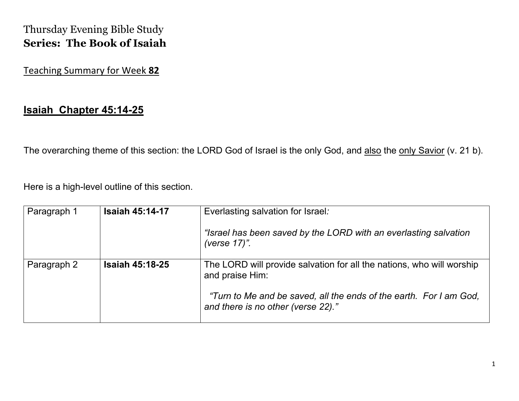## Thursday Evening Bible Study **Series: The Book of Isaiah**

Teaching Summary for Week **82** 

## **Isaiah Chapter 45:14-25**

The overarching theme of this section: the LORD God of Israel is the only God, and also the only Savior (v. 21 b).

Here is a high-level outline of this section.

| Paragraph 1 | <b>Isaiah 45:14-17</b> | Everlasting salvation for Israel:<br>"Israel has been saved by the LORD with an everlasting salvation<br>(verse $17$ )".                                                                             |
|-------------|------------------------|------------------------------------------------------------------------------------------------------------------------------------------------------------------------------------------------------|
| Paragraph 2 | <b>Isaiah 45:18-25</b> | The LORD will provide salvation for all the nations, who will worship<br>and praise Him:<br>"Turn to Me and be saved, all the ends of the earth. For I am God,<br>and there is no other (verse 22)." |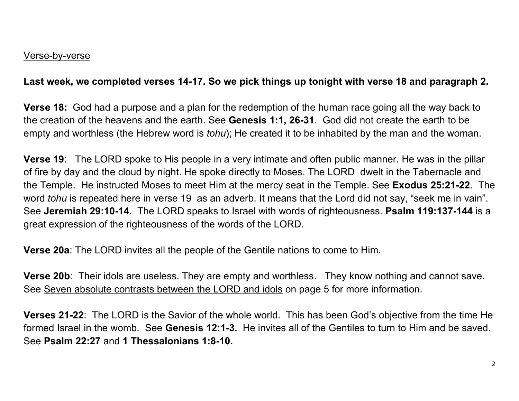## **Last week, we completed verses 14-17. So we pick things up tonight with verse 18 and paragraph 2.**

**Verse 18:** God had a purpose and a plan for the redemption of the human race going all the way back to the creation of the heavens and the earth. See **Genesis 1:1, 26-31**. God did not create the earth to be empty and worthless (the Hebrew word is *tohu*); He created it to be inhabited by the man and the woman.

**Verse 19**: The LORD spoke to His people in a very intimate and often public manner. He was in the pillar of fire by day and the cloud by night. He spoke directly to Moses. The LORD dwelt in the Tabernacle and the Temple. He instructed Moses to meet Him at the mercy seat in the Temple. See **Exodus 25:21-22**. The word *tohu* is repeated here in verse 19 as an adverb. It means that the Lord did not say, "seek me in vain". See **Jeremiah 29:10-14**. The LORD speaks to Israel with words of righteousness. **Psalm 119:137-144** is a great expression of the righteousness of the words of the LORD.

**Verse 20a**: The LORD invites all the people of the Gentile nations to come to Him.

**Verse 20b**: Their idols are useless. They are empty and worthless. They know nothing and cannot save. See Seven absolute contrasts between the LORD and idols on page 5 for more information.

**Verses 21-22**: The LORD is the Savior of the whole world. This has been God's objective from the time He formed Israel in the womb. See **Genesis 12:1-3.** He invites all of the Gentiles to turn to Him and be saved. See **Psalm 22:27** and **1 Thessalonians 1:8-10.**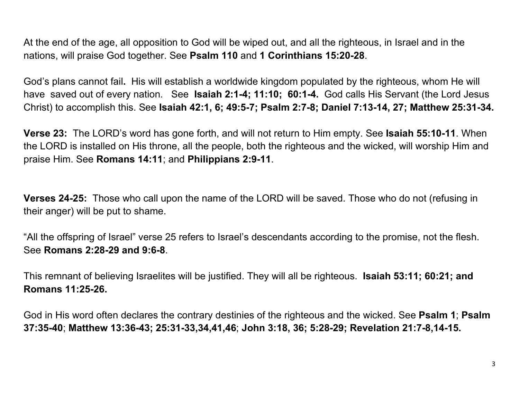At the end of the age, all opposition to God will be wiped out, and all the righteous, in Israel and in the nations, will praise God together. See **Psalm 110** and **1 Corinthians 15:20-28**.

God's plans cannot fail**.** His will establish a worldwide kingdom populated by the righteous, whom He will have saved out of every nation. See **Isaiah 2:1-4; 11:10; 60:1-4.** God calls His Servant (the Lord Jesus Christ) to accomplish this. See **Isaiah 42:1, 6; 49:5-7; Psalm 2:7-8; Daniel 7:13-14, 27; Matthew 25:31-34.** 

**Verse 23:** The LORD's word has gone forth, and will not return to Him empty. See **Isaiah 55:10-11**. When the LORD is installed on His throne, all the people, both the righteous and the wicked, will worship Him and praise Him. See **Romans 14:11**; and **Philippians 2:9-11**.

**Verses 24-25:** Those who call upon the name of the LORD will be saved. Those who do not (refusing in their anger) will be put to shame.

"All the offspring of Israel" verse 25 refers to Israel's descendants according to the promise, not the flesh. See **Romans 2:28-29 and 9:6-8**.

This remnant of believing Israelites will be justified. They will all be righteous. **Isaiah 53:11; 60:21; and Romans 11:25-26.**

God in His word often declares the contrary destinies of the righteous and the wicked. See **Psalm 1**; **Psalm 37:35-40**; **Matthew 13:36-43; 25:31-33,34,41,46**; **John 3:18, 36; 5:28-29; Revelation 21:7-8,14-15.**